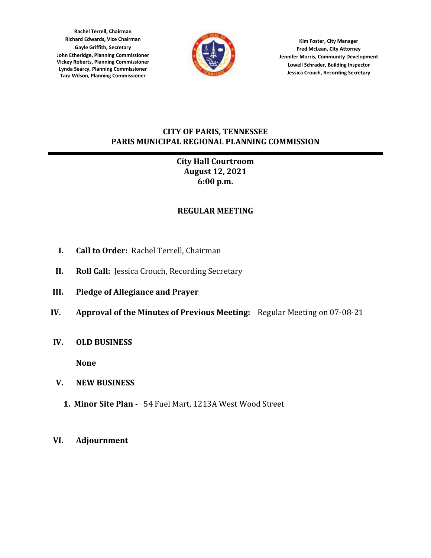**Rachel Terrell, Chairman Richard Edwards, Vice Chairman Gayle Griffith, Secretary John Etheridge, Planning Commissioner Vickey Roberts, Planning Commissioner Lynda Searcy, Planning Commissioner Tara Wilson, Planning Commissioner**



**Kim Foster, City Manager Fred McLean, City Attorney Jennifer Morris, Community Development Lowell Schrader, Building Inspector Jessica Crouch, Recording Secretary**

## **CITY OF PARIS, TENNESSEE PARIS MUNICIPAL REGIONAL PLANNING COMMISSION**

# **City Hall Courtroom August 12, 2021 6:00 p.m.**

# **REGULAR MEETING**

- **I. Call to Order:** Rachel Terrell, Chairman
- **II. Roll Call:** Jessica Crouch, Recording Secretary
- **III. Pledge of Allegiance and Prayer**
- **IV. Approval of the Minutes of Previous Meeting:** Regular Meeting on 07-08-21
- **IV. OLD BUSINESS**

**None**

- **V. NEW BUSINESS**
	- **1. Minor Site Plan** 54 Fuel Mart, 1213A West Wood Street
- **VI. Adjournment**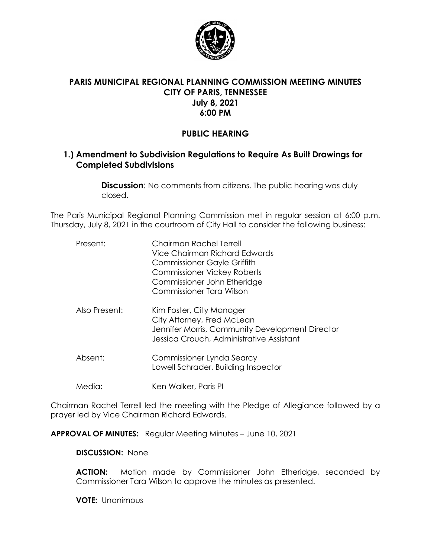

# **PARIS MUNICIPAL REGIONAL PLANNING COMMISSION MEETING MINUTES CITY OF PARIS, TENNESSEE July 8, 2021 6:00 PM**

# **PUBLIC HEARING**

# **1.) Amendment to Subdivision Regulations to Require As Built Drawings for Completed Subdivisions**

**Discussion:** No comments from citizens. The public hearing was duly closed.

The Paris Municipal Regional Planning Commission met in regular session at 6:00 p.m. Thursday, July 8, 2021 in the courtroom of City Hall to consider the following business:

| Present:      | Chairman Rachel Terrell<br>Vice Chairman Richard Edwards<br><b>Commissioner Gayle Griffith</b><br><b>Commissioner Vickey Roberts</b><br>Commissioner John Etheridge<br>Commissioner Tara Wilson |
|---------------|-------------------------------------------------------------------------------------------------------------------------------------------------------------------------------------------------|
| Also Present: | Kim Foster, City Manager<br>City Attorney, Fred McLean<br>Jennifer Morris, Community Development Director<br>Jessica Crouch, Administrative Assistant                                           |
| Absent:       | Commissioner Lynda Searcy<br>Lowell Schrader, Building Inspector                                                                                                                                |
| Media:        | Ken Walker, Paris PI                                                                                                                                                                            |

Chairman Rachel Terrell led the meeting with the Pledge of Allegiance followed by a prayer led by Vice Chairman Richard Edwards.

**APPROVAL OF MINUTES:** Regular Meeting Minutes – June 10, 2021

**DISCUSSION:** None

**ACTION:** Motion made by Commissioner John Etheridge, seconded by Commissioner Tara Wilson to approve the minutes as presented.

**VOTE:** Unanimous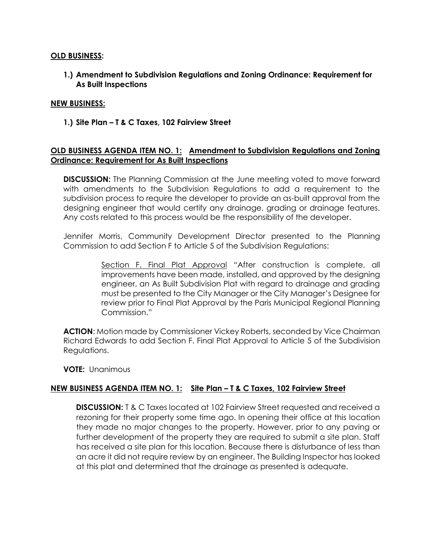#### **OLD BUSINESS:**

**1.) Amendment to Subdivision Regulations and Zoning Ordinance: Requirement for As Built Inspections**

#### **NEW BUSINESS:**

**1.) Site Plan – T & C Taxes, 102 Fairview Street**

### **OLD BUSINESS AGENDA ITEM NO. 1: Amendment to Subdivision Regulations and Zoning Ordinance: Requirement for As Built Inspections**

**DISCUSSION:** The Planning Commission at the June meeting voted to move forward with amendments to the Subdivision Regulations to add a requirement to the subdivision process to require the developer to provide an as-built approval from the designing engineer that would certify any drainage, grading or drainage features. Any costs related to this process would be the responsibility of the developer.

Jennifer Morris, Community Development Director presented to the Planning Commission to add Section F to Article 5 of the Subdivision Regulations:

> Section F. Final Plat Approval "After construction is complete, all improvements have been made, installed, and approved by the designing engineer, an As Built Subdivision Plat with regard to drainage and grading must be presented to the City Manager or the City Manager's Designee for review prior to Final Plat Approval by the Paris Municipal Regional Planning Commission."

**ACTION**: Motion made by Commissioner Vickey Roberts, seconded by Vice Chairman Richard Edwards to add Section F. Final Plat Approval to Article 5 of the Subdivision Regulations.

**VOTE:** Unanimous

#### **NEW BUSINESS AGENDA ITEM NO. 1: Site Plan – T & C Taxes, 102 Fairview Street**

**DISCUSSION:** T & C Taxes located at 102 Fairview Street requested and received a rezoning for their property some time ago. In opening their office at this location they made no major changes to the property. However, prior to any paving or further development of the property they are required to submit a site plan. Staff has received a site plan for this location. Because there is disturbance of less than an acre it did not require review by an engineer. The Building Inspector has looked at this plat and determined that the drainage as presented is adequate.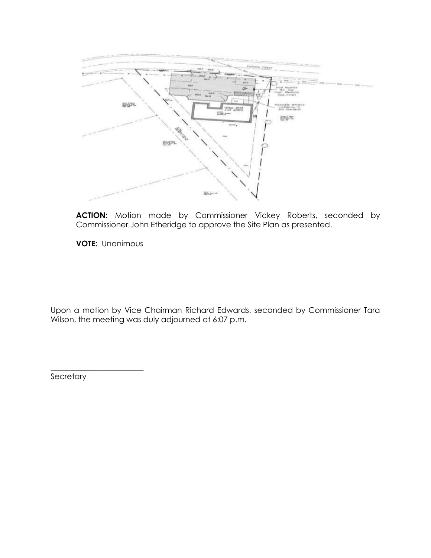

**ACTION:** Motion made by Commissioner Vickey Roberts, seconded by Commissioner John Etheridge to approve the Site Plan as presented.

**VOTE:** Unanimous

Upon a motion by Vice Chairman Richard Edwards, seconded by Commissioner Tara Wilson, the meeting was duly adjourned at 6:07 p.m.

**Secretary** 

\_\_\_\_\_\_\_\_\_\_\_\_\_\_\_\_\_\_\_\_\_\_\_\_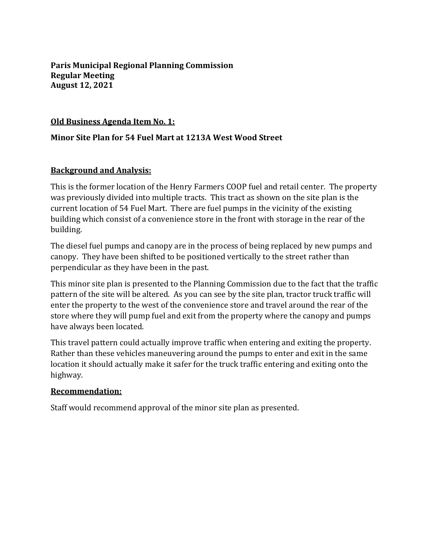**Paris Municipal Regional Planning Commission Regular Meeting August 12, 2021**

## **Old Business Agenda Item No. 1:**

## **Minor Site Plan for 54 Fuel Mart at 1213A West Wood Street**

## **Background and Analysis:**

This is the former location of the Henry Farmers COOP fuel and retail center. The property was previously divided into multiple tracts. This tract as shown on the site plan is the current location of 54 Fuel Mart. There are fuel pumps in the vicinity of the existing building which consist of a convenience store in the front with storage in the rear of the building.

The diesel fuel pumps and canopy are in the process of being replaced by new pumps and canopy. They have been shifted to be positioned vertically to the street rather than perpendicular as they have been in the past.

This minor site plan is presented to the Planning Commission due to the fact that the traffic pattern of the site will be altered. As you can see by the site plan, tractor truck traffic will enter the property to the west of the convenience store and travel around the rear of the store where they will pump fuel and exit from the property where the canopy and pumps have always been located.

This travel pattern could actually improve traffic when entering and exiting the property. Rather than these vehicles maneuvering around the pumps to enter and exit in the same location it should actually make it safer for the truck traffic entering and exiting onto the highway.

#### **Recommendation:**

Staff would recommend approval of the minor site plan as presented.